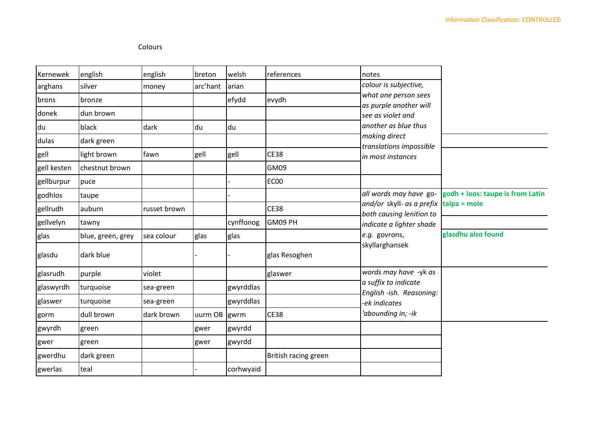## Colours

| Kernewek    | english           | english      | breton       | welsh     | references           | notes                                                                                  |                                  |
|-------------|-------------------|--------------|--------------|-----------|----------------------|----------------------------------------------------------------------------------------|----------------------------------|
| arghans     | silver            | money        | arc'hant     | arian     |                      | colour is subjective,                                                                  |                                  |
| brons       | bronze            |              |              | efydd     | evydh                | what one person sees<br>as purple another will                                         |                                  |
| donek       | dun brown         |              |              |           |                      | see as violet and                                                                      |                                  |
| du          | black             | dark         | du           | du        |                      | another as blue thus                                                                   |                                  |
| dulas       | dark green        |              |              |           |                      | making direct                                                                          |                                  |
| gell        | light brown       | fawn         | gell         | gell      | <b>CE38</b>          | translations impossible<br>in most instances                                           |                                  |
| gell kesten | chestnut brown    |              |              |           | GM09                 |                                                                                        |                                  |
| gellburpur  | puce              |              |              |           | EC00                 |                                                                                        |                                  |
| godhlos     | taupe             |              |              |           |                      | all words may have go-                                                                 | godh + loos: taupe is from Latin |
| gellrudh    | auburn            | russet brown |              |           | <b>CE38</b>          | and/or skyll- as a prefix $\tanh$ talpa = mole<br>both causing lenition to             |                                  |
| gellvelyn   | tawny             |              |              | cynffonog | GM09 PH              | indicate a lighter shade                                                               |                                  |
| glas        | blue, green, grey | sea colour   | glas         | glas      |                      | e.g. govrons,                                                                          | glasdhu also found               |
| glasdu      | dark blue         |              |              |           | glas Resoghen        | skyllarghansek                                                                         |                                  |
| glasrudh    | purple            | violet       |              |           | glaswer              | words may have -yk as                                                                  |                                  |
| glaswyrdh   | turquoise         | sea-green    |              | gwyrddlas |                      | a suffix to indicate<br>English-ish. Reasoning:<br>-ek indicates<br>'abounding in; -ik |                                  |
| glaswer     | turquoise         | sea-green    |              | gwyrddlas |                      |                                                                                        |                                  |
| gorm        | dull brown        | dark brown   | uurm OB gwrm |           | <b>CE38</b>          |                                                                                        |                                  |
| gwyrdh      | green             |              | gwer         | gwyrdd    |                      |                                                                                        |                                  |
| gwer        | green             |              | gwer         | gwyrdd    |                      |                                                                                        |                                  |
| gwerdhu     | dark green        |              |              |           | British racing green |                                                                                        |                                  |
| gwerlas     | teal              |              |              | corhwyaid |                      |                                                                                        |                                  |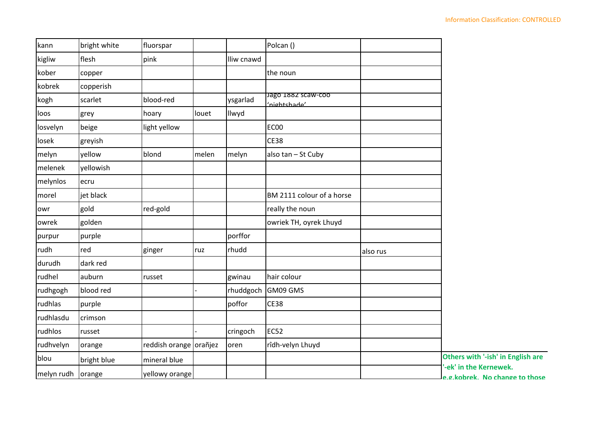| kann              | bright white | fluorspar              |       |            | Polcan ()                          |          |                                                          |
|-------------------|--------------|------------------------|-------|------------|------------------------------------|----------|----------------------------------------------------------|
| kigliw            | flesh        | pink                   |       | lliw cnawd |                                    |          |                                                          |
| kober             | copper       |                        |       |            | the noun                           |          |                                                          |
| kobrek            | copperish    |                        |       |            |                                    |          |                                                          |
| kogh              | scarlet      | blood-red              |       | ysgarlad   | Jago 1882 scaw-coo<br>'nightshade' |          |                                                          |
| loos              | grey         | hoary                  | louet | Ilwyd      |                                    |          |                                                          |
| losvelyn          | beige        | light yellow           |       |            | EC00                               |          |                                                          |
| losek             | greyish      |                        |       |            | <b>CE38</b>                        |          |                                                          |
| melyn             | yellow       | blond                  | melen | melyn      | also tan - St Cuby                 |          |                                                          |
| melenek           | yellowish    |                        |       |            |                                    |          |                                                          |
| melynlos          | ecru         |                        |       |            |                                    |          |                                                          |
| morel             | jet black    |                        |       |            | BM 2111 colour of a horse          |          |                                                          |
| owr               | gold         | red-gold               |       |            | really the noun                    |          |                                                          |
| owrek             | golden       |                        |       |            | owriek TH, oyrek Lhuyd             |          |                                                          |
| purpur            | purple       |                        |       | porffor    |                                    |          |                                                          |
| rudh              | red          | ginger                 | ruz   | rhudd      |                                    | also rus |                                                          |
| durudh            | dark red     |                        |       |            |                                    |          |                                                          |
| rudhel            | auburn       | russet                 |       | gwinau     | hair colour                        |          |                                                          |
| rudhgogh          | blood red    |                        |       | rhuddgoch  | GM09 GMS                           |          |                                                          |
| rudhlas           | purple       |                        |       | poffor     | <b>CE38</b>                        |          |                                                          |
| rudhlasdu         | crimson      |                        |       |            |                                    |          |                                                          |
| rudhlos           | russet       |                        |       | cringoch   | <b>EC52</b>                        |          |                                                          |
| rudhvelyn         | orange       | reddish orange orañjez |       | oren       | rîdh-velyn Lhuyd                   |          |                                                          |
| blou              | bright blue  | mineral blue           |       |            |                                    |          | Others with '-ish' in English are                        |
| melyn rudh orange |              | yellowy orange         |       |            |                                    |          | '-ek' in the Kernewek.<br>e.g.kobrek. No change to those |
|                   |              |                        |       |            |                                    |          |                                                          |